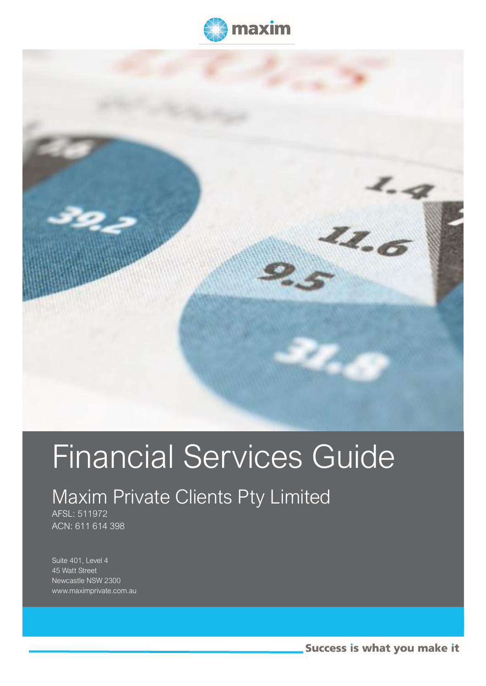



# Financial Services Guide

# Maxim Private Clients Pty Limited

AFSL: 511972 ACN: 611 614 398

Suite 401, Level 4 45 Watt Street Newcastle NSW 2300 www.maximprivate.com.au

j

Success is what you make it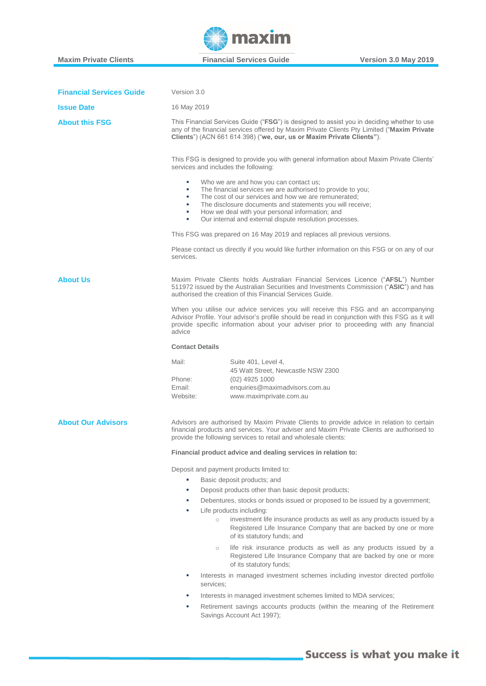İ

**A** maxim

**Maxim Private Clients Financial Services Guide Version 3.0 May 2019** 

| <b>Financial Services Guide</b> | Version 3.0                                                                                                                                                                                                                                                                                                                                                                 |  |  |  |
|---------------------------------|-----------------------------------------------------------------------------------------------------------------------------------------------------------------------------------------------------------------------------------------------------------------------------------------------------------------------------------------------------------------------------|--|--|--|
| <b>Issue Date</b>               | 16 May 2019                                                                                                                                                                                                                                                                                                                                                                 |  |  |  |
| <b>About this FSG</b>           | This Financial Services Guide ("FSG") is designed to assist you in deciding whether to use<br>any of the financial services offered by Maxim Private Clients Pty Limited ("Maxim Private<br>Clients") (ACN 661 614 398) ("we, our, us or Maxim Private Clients").                                                                                                           |  |  |  |
|                                 | This FSG is designed to provide you with general information about Maxim Private Clients'<br>services and includes the following:                                                                                                                                                                                                                                           |  |  |  |
|                                 | Who we are and how you can contact us;<br>×.<br>The financial services we are authorised to provide to you;<br>٠<br>The cost of our services and how we are remunerated;<br>a.<br>The disclosure documents and statements you will receive;<br>×.<br>How we deal with your personal information; and<br>a.<br>Our internal and external dispute resolution processes.<br>a. |  |  |  |
|                                 | This FSG was prepared on 16 May 2019 and replaces all previous versions.                                                                                                                                                                                                                                                                                                    |  |  |  |
|                                 | Please contact us directly if you would like further information on this FSG or on any of our<br>services.                                                                                                                                                                                                                                                                  |  |  |  |
| <b>About Us</b>                 | Maxim Private Clients holds Australian Financial Services Licence ("AFSL") Number<br>511972 issued by the Australian Securities and Investments Commission ("ASIC") and has<br>authorised the creation of this Financial Services Guide.                                                                                                                                    |  |  |  |
|                                 | When you utilise our advice services you will receive this FSG and an accompanying<br>Advisor Profile. Your advisor's profile should be read in conjunction with this FSG as it will<br>provide specific information about your adviser prior to proceeding with any financial<br>advice                                                                                    |  |  |  |
|                                 | <b>Contact Details</b>                                                                                                                                                                                                                                                                                                                                                      |  |  |  |
|                                 | Mail:<br>Suite 401, Level 4,<br>45 Watt Street, Newcastle NSW 2300<br>Phone:<br>$(02)$ 4925 1000<br>Email:<br>enquiries@maximadvisors.com.au<br>Website:<br>www.maximprivate.com.au                                                                                                                                                                                         |  |  |  |
| <b>About Our Advisors</b>       | Advisors are authorised by Maxim Private Clients to provide advice in relation to certain<br>financial products and services. Your adviser and Maxim Private Clients are authorised to<br>provide the following services to retail and wholesale clients:                                                                                                                   |  |  |  |
|                                 | Financial product advice and dealing services in relation to:                                                                                                                                                                                                                                                                                                               |  |  |  |
|                                 | Deposit and payment products limited to:                                                                                                                                                                                                                                                                                                                                    |  |  |  |
|                                 | Basic deposit products; and<br>×.                                                                                                                                                                                                                                                                                                                                           |  |  |  |
|                                 | Deposit products other than basic deposit products;<br>×                                                                                                                                                                                                                                                                                                                    |  |  |  |
|                                 | Debentures, stocks or bonds issued or proposed to be issued by a government;<br>×                                                                                                                                                                                                                                                                                           |  |  |  |
|                                 | Life products including:<br>×<br>investment life insurance products as well as any products issued by a<br>$\circ$<br>Registered Life Insurance Company that are backed by one or more<br>of its statutory funds; and                                                                                                                                                       |  |  |  |
|                                 | life risk insurance products as well as any products issued by a<br>$\circ$<br>Registered Life Insurance Company that are backed by one or more<br>of its statutory funds;                                                                                                                                                                                                  |  |  |  |
|                                 | Interests in managed investment schemes including investor directed portfolio<br>services;                                                                                                                                                                                                                                                                                  |  |  |  |
|                                 | Interests in managed investment schemes limited to MDA services;<br>×.                                                                                                                                                                                                                                                                                                      |  |  |  |
|                                 | Retirement savings accounts products (within the meaning of the Retirement<br>Savings Account Act 1997);                                                                                                                                                                                                                                                                    |  |  |  |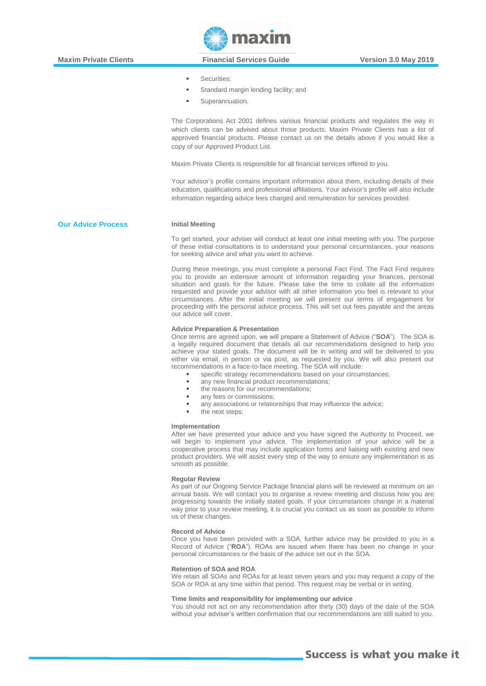- Securities:
- Standard margin lending facility; and
- Superannuation.

The Corporations Act 2001 defines various financial products and regulates the way in which clients can be advised about those products. Maxim Private Clients has a list of approved financial products. Please contact us on the details above if you would like a copy of our Approved Product List.

Maxim Private Clients is responsible for all financial services offered to you.

Your advisor's profile contains important information about them, including details of their education, qualifications and professional affiliations. Your advisor's profile will also include information regarding advice fees charged and remuneration for services provided.

## **Our Advice Process Initial Meeting**

İ

To get started, your adviser will conduct at least one initial meeting with you. The purpose of these initial consultations is to understand your personal circumstances, your reasons for seeking advice and what you want to achieve.

During these meetings, you must complete a personal Fact Find. The Fact Find requires you to provide an extensive amount of information regarding your finances, personal situation and goals for the future. Please take the time to collate all the information requested and provide your advisor with all other information you feel is relevant to your circumstances. After the initial meeting we will present our terms of engagement for proceeding with the personal advice process. This will set out fees payable and the areas our advice will cover.

#### **Advice Preparation & Presentation**

Once terms are agreed upon, we will prepare a Statement of Advice ("**SOA**"). The SOA is a legally required document that details all our recommendations designed to help you achieve your stated goals. The document will be in writing and will be delivered to you either via email, in person or via post, as requested by you. We will also present our recommendations in a face-to-face meeting. The SOA will include:

- specific strategy recommendations based on your circumstances;
- any new financial product recommendations:
- the reasons for our recommendations:
- any fees or commissions;
- any associations or relationships that may influence the advice;
- the next steps;

#### **Implementation**

After we have presented your advice and you have signed the Authority to Proceed, we will begin to implement your advice. The implementation of your advice will be a cooperative process that may include application forms and liaising with existing and new product providers. We will assist every step of the way to ensure any implementation is as smooth as possible.

#### **Regular Review**

As part of our Ongoing Service Package financial plans will be reviewed at minimum on an annual basis. We will contact you to organise a review meeting and discuss how you are progressing towards the initially stated goals. If your circumstances change in a material way prior to your review meeting, it is crucial you contact us as soon as possible to inform us of these changes.

#### **Record of Advice**

Once you have been provided with a SOA, further advice may be provided to you in a Record of Advice ("**ROA**"). ROAs are issued when there has been no change in your personal circumstances or the basis of the advice set out in the SOA.

#### **Retention of SOA and ROA**

We retain all SOAs and ROAs for at least seven years and you may request a copy of the SOA or ROA at any time within that period. This request may be verbal or in writing.

### **Time limits and responsibility for implementing our advice**

You should not act on any recommendation after thirty (30) days of the date of the SOA without your adviser's written confirmation that our recommendations are still suited to you.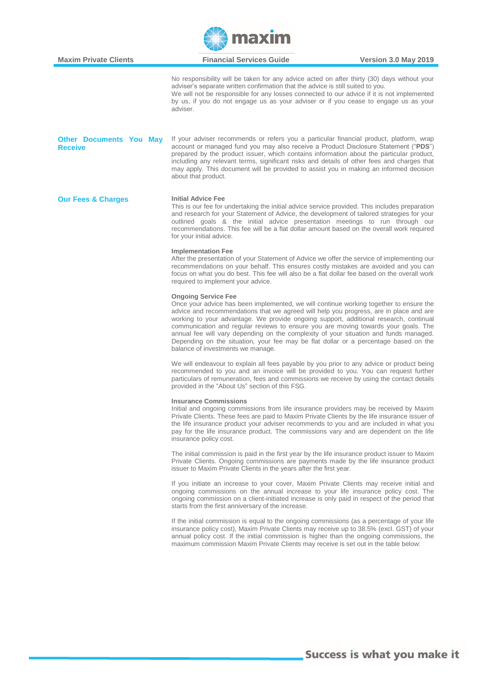

| No responsibility will be taken for any advice acted on after thirty (30) days without your<br>adviser's separate written confirmation that the advice is still suited to you.<br>We will not be responsible for any losses connected to our advice if it is not implemented<br>by us, if you do not engage us as your adviser or if you cease to engage us as your<br>adviser.<br>If your adviser recommends or refers you a particular financial product, platform, wrap<br><b>Other Documents You May</b><br>account or managed fund you may also receive a Product Disclosure Statement ("PDS")<br><b>Receive</b><br>prepared by the product issuer, which contains information about the particular product,<br>including any relevant terms, significant risks and details of other fees and charges that<br>may apply. This document will be provided to assist you in making an informed decision<br>about that product.<br><b>Initial Advice Fee</b><br><b>Our Fees &amp; Charges</b><br>This is our fee for undertaking the initial advice service provided. This includes preparation<br>and research for your Statement of Advice, the development of tailored strategies for your<br>outlined goals & the initial advice presentation meetings to run through our<br>recommendations. This fee will be a flat dollar amount based on the overall work required<br>for your initial advice.<br><b>Implementation Fee</b><br>After the presentation of your Statement of Advice we offer the service of implementing our<br>recommendations on your behalf. This ensures costly mistakes are avoided and you can<br>focus on what you do best. This fee will also be a flat dollar fee based on the overall work<br>required to implement your advice.<br><b>Ongoing Service Fee</b><br>Once your advice has been implemented, we will continue working together to ensure the<br>advice and recommendations that we agreed will help you progress, are in place and are<br>working to your advantage. We provide ongoing support, additional research, continual<br>communication and regular reviews to ensure you are moving towards your goals. The<br>annual fee will vary depending on the complexity of your situation and funds managed.<br>Depending on the situation, your fee may be flat dollar or a percentage based on the<br>balance of investments we manage.<br>We will endeavour to explain all fees payable by you prior to any advice or product being<br>recommended to you and an invoice will be provided to you. You can request further<br>particulars of remuneration, fees and commissions we receive by using the contact details<br>provided in the "About Us" section of this FSG.<br><b>Insurance Commissions</b><br>Initial and ongoing commissions from life insurance providers may be received by Maxim<br>Private Clients. These fees are paid to Maxim Private Clients by the life insurance issuer of<br>the life insurance product your adviser recommends to you and are included in what you<br>pay for the life insurance product. The commissions vary and are dependent on the life<br>insurance policy cost.<br>The initial commission is paid in the first year by the life insurance product issuer to Maxim<br>Private Clients. Ongoing commissions are payments made by the life insurance product<br>issuer to Maxim Private Clients in the years after the first year.<br>If you initiate an increase to your cover, Maxim Private Clients may receive initial and<br>ongoing commissions on the annual increase to your life insurance policy cost. The<br>ongoing commission on a client-initiated increase is only paid in respect of the period that<br>starts from the first anniversary of the increase.<br>If the initial commission is equal to the ongoing commissions (as a percentage of your life<br>insurance policy cost), Maxim Private Clients may receive up to 38.5% (excl. GST) of your<br>annual policy cost. If the initial commission is higher than the ongoing commissions, the<br>maximum commission Maxim Private Clients may receive is set out in the table below: | <b>Maxim Private Clients</b> | <b>Financial Services Guide</b><br><b>Version 3.0 May 2019</b> |  |
|--------------------------------------------------------------------------------------------------------------------------------------------------------------------------------------------------------------------------------------------------------------------------------------------------------------------------------------------------------------------------------------------------------------------------------------------------------------------------------------------------------------------------------------------------------------------------------------------------------------------------------------------------------------------------------------------------------------------------------------------------------------------------------------------------------------------------------------------------------------------------------------------------------------------------------------------------------------------------------------------------------------------------------------------------------------------------------------------------------------------------------------------------------------------------------------------------------------------------------------------------------------------------------------------------------------------------------------------------------------------------------------------------------------------------------------------------------------------------------------------------------------------------------------------------------------------------------------------------------------------------------------------------------------------------------------------------------------------------------------------------------------------------------------------------------------------------------------------------------------------------------------------------------------------------------------------------------------------------------------------------------------------------------------------------------------------------------------------------------------------------------------------------------------------------------------------------------------------------------------------------------------------------------------------------------------------------------------------------------------------------------------------------------------------------------------------------------------------------------------------------------------------------------------------------------------------------------------------------------------------------------------------------------------------------------------------------------------------------------------------------------------------------------------------------------------------------------------------------------------------------------------------------------------------------------------------------------------------------------------------------------------------------------------------------------------------------------------------------------------------------------------------------------------------------------------------------------------------------------------------------------------------------------------------------------------------------------------------------------------------------------------------------------------------------------------------------------------------------------------------------------------------------------------------------------------------------------------------------------------------------------------------------------------------------------------------------------------------------------------------------------------------------------------------------------------------------------------------------------------------------------------------------------------------------------------------------------------------------------------------------------------------------------------------------------------------------------------------------------------------------------------------------------------|------------------------------|----------------------------------------------------------------|--|
|                                                                                                                                                                                                                                                                                                                                                                                                                                                                                                                                                                                                                                                                                                                                                                                                                                                                                                                                                                                                                                                                                                                                                                                                                                                                                                                                                                                                                                                                                                                                                                                                                                                                                                                                                                                                                                                                                                                                                                                                                                                                                                                                                                                                                                                                                                                                                                                                                                                                                                                                                                                                                                                                                                                                                                                                                                                                                                                                                                                                                                                                                                                                                                                                                                                                                                                                                                                                                                                                                                                                                                                                                                                                                                                                                                                                                                                                                                                                                                                                                                                                                                                                                              |                              |                                                                |  |
|                                                                                                                                                                                                                                                                                                                                                                                                                                                                                                                                                                                                                                                                                                                                                                                                                                                                                                                                                                                                                                                                                                                                                                                                                                                                                                                                                                                                                                                                                                                                                                                                                                                                                                                                                                                                                                                                                                                                                                                                                                                                                                                                                                                                                                                                                                                                                                                                                                                                                                                                                                                                                                                                                                                                                                                                                                                                                                                                                                                                                                                                                                                                                                                                                                                                                                                                                                                                                                                                                                                                                                                                                                                                                                                                                                                                                                                                                                                                                                                                                                                                                                                                                              |                              |                                                                |  |
|                                                                                                                                                                                                                                                                                                                                                                                                                                                                                                                                                                                                                                                                                                                                                                                                                                                                                                                                                                                                                                                                                                                                                                                                                                                                                                                                                                                                                                                                                                                                                                                                                                                                                                                                                                                                                                                                                                                                                                                                                                                                                                                                                                                                                                                                                                                                                                                                                                                                                                                                                                                                                                                                                                                                                                                                                                                                                                                                                                                                                                                                                                                                                                                                                                                                                                                                                                                                                                                                                                                                                                                                                                                                                                                                                                                                                                                                                                                                                                                                                                                                                                                                                              |                              |                                                                |  |
|                                                                                                                                                                                                                                                                                                                                                                                                                                                                                                                                                                                                                                                                                                                                                                                                                                                                                                                                                                                                                                                                                                                                                                                                                                                                                                                                                                                                                                                                                                                                                                                                                                                                                                                                                                                                                                                                                                                                                                                                                                                                                                                                                                                                                                                                                                                                                                                                                                                                                                                                                                                                                                                                                                                                                                                                                                                                                                                                                                                                                                                                                                                                                                                                                                                                                                                                                                                                                                                                                                                                                                                                                                                                                                                                                                                                                                                                                                                                                                                                                                                                                                                                                              |                              |                                                                |  |
|                                                                                                                                                                                                                                                                                                                                                                                                                                                                                                                                                                                                                                                                                                                                                                                                                                                                                                                                                                                                                                                                                                                                                                                                                                                                                                                                                                                                                                                                                                                                                                                                                                                                                                                                                                                                                                                                                                                                                                                                                                                                                                                                                                                                                                                                                                                                                                                                                                                                                                                                                                                                                                                                                                                                                                                                                                                                                                                                                                                                                                                                                                                                                                                                                                                                                                                                                                                                                                                                                                                                                                                                                                                                                                                                                                                                                                                                                                                                                                                                                                                                                                                                                              |                              |                                                                |  |
|                                                                                                                                                                                                                                                                                                                                                                                                                                                                                                                                                                                                                                                                                                                                                                                                                                                                                                                                                                                                                                                                                                                                                                                                                                                                                                                                                                                                                                                                                                                                                                                                                                                                                                                                                                                                                                                                                                                                                                                                                                                                                                                                                                                                                                                                                                                                                                                                                                                                                                                                                                                                                                                                                                                                                                                                                                                                                                                                                                                                                                                                                                                                                                                                                                                                                                                                                                                                                                                                                                                                                                                                                                                                                                                                                                                                                                                                                                                                                                                                                                                                                                                                                              |                              |                                                                |  |
|                                                                                                                                                                                                                                                                                                                                                                                                                                                                                                                                                                                                                                                                                                                                                                                                                                                                                                                                                                                                                                                                                                                                                                                                                                                                                                                                                                                                                                                                                                                                                                                                                                                                                                                                                                                                                                                                                                                                                                                                                                                                                                                                                                                                                                                                                                                                                                                                                                                                                                                                                                                                                                                                                                                                                                                                                                                                                                                                                                                                                                                                                                                                                                                                                                                                                                                                                                                                                                                                                                                                                                                                                                                                                                                                                                                                                                                                                                                                                                                                                                                                                                                                                              |                              |                                                                |  |
|                                                                                                                                                                                                                                                                                                                                                                                                                                                                                                                                                                                                                                                                                                                                                                                                                                                                                                                                                                                                                                                                                                                                                                                                                                                                                                                                                                                                                                                                                                                                                                                                                                                                                                                                                                                                                                                                                                                                                                                                                                                                                                                                                                                                                                                                                                                                                                                                                                                                                                                                                                                                                                                                                                                                                                                                                                                                                                                                                                                                                                                                                                                                                                                                                                                                                                                                                                                                                                                                                                                                                                                                                                                                                                                                                                                                                                                                                                                                                                                                                                                                                                                                                              |                              |                                                                |  |
|                                                                                                                                                                                                                                                                                                                                                                                                                                                                                                                                                                                                                                                                                                                                                                                                                                                                                                                                                                                                                                                                                                                                                                                                                                                                                                                                                                                                                                                                                                                                                                                                                                                                                                                                                                                                                                                                                                                                                                                                                                                                                                                                                                                                                                                                                                                                                                                                                                                                                                                                                                                                                                                                                                                                                                                                                                                                                                                                                                                                                                                                                                                                                                                                                                                                                                                                                                                                                                                                                                                                                                                                                                                                                                                                                                                                                                                                                                                                                                                                                                                                                                                                                              |                              |                                                                |  |
|                                                                                                                                                                                                                                                                                                                                                                                                                                                                                                                                                                                                                                                                                                                                                                                                                                                                                                                                                                                                                                                                                                                                                                                                                                                                                                                                                                                                                                                                                                                                                                                                                                                                                                                                                                                                                                                                                                                                                                                                                                                                                                                                                                                                                                                                                                                                                                                                                                                                                                                                                                                                                                                                                                                                                                                                                                                                                                                                                                                                                                                                                                                                                                                                                                                                                                                                                                                                                                                                                                                                                                                                                                                                                                                                                                                                                                                                                                                                                                                                                                                                                                                                                              |                              |                                                                |  |
|                                                                                                                                                                                                                                                                                                                                                                                                                                                                                                                                                                                                                                                                                                                                                                                                                                                                                                                                                                                                                                                                                                                                                                                                                                                                                                                                                                                                                                                                                                                                                                                                                                                                                                                                                                                                                                                                                                                                                                                                                                                                                                                                                                                                                                                                                                                                                                                                                                                                                                                                                                                                                                                                                                                                                                                                                                                                                                                                                                                                                                                                                                                                                                                                                                                                                                                                                                                                                                                                                                                                                                                                                                                                                                                                                                                                                                                                                                                                                                                                                                                                                                                                                              |                              |                                                                |  |